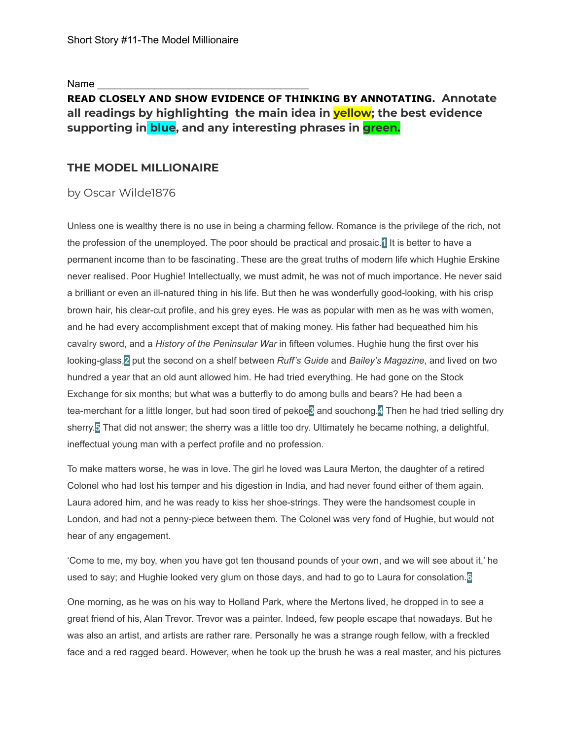Name

# **READ CLOSELY AND SHOW EVIDENCE OF THINKING BY ANNOTATING. Annotate all readings by highlighting the main idea in yellow; the best evidence supporting in blue, and any interesting phrases in green.**

# **THE MODEL MILLIONAIRE**

## by Oscar Wilde1876

Unless one is wealthy there is no use in being a charming fellow. Romance is the privilege of the rich, not the profession of the unemployed. The poor should be practical and prosaic.**1** It is better to have a permanent income than to be fascinating. These are the great truths of modern life which Hughie Erskine never realised. Poor Hughie! Intellectually, we must admit, he was not of much importance. He never said a brilliant or even an ill-natured thing in his life. But then he was wonderfully good-looking, with his crisp brown hair, his clear-cut profile, and his grey eyes. He was as popular with men as he was with women, and he had every accomplishment except that of making money. His father had bequeathed him his cavalry sword, and a *History of the Peninsular War* in fifteen volumes. Hughie hung the first over his looking-glass,**2** put the second on a shelf between *Ruff's Guide* and *Bailey's Magazine*, and lived on two hundred a year that an old aunt allowed him. He had tried everything. He had gone on the Stock Exchange for six months; but what was a butterfly to do among bulls and bears? He had been a tea-merchant for a little longer, but had soon tired of pekoe**3** and souchong.**4** Then he had tried selling dry sherry.**5** That did not answer; the sherry was a little too dry. Ultimately he became nothing, a delightful, ineffectual young man with a perfect profile and no profession.

To make matters worse, he was in love. The girl he loved was Laura Merton, the daughter of a retired Colonel who had lost his temper and his digestion in India, and had never found either of them again. Laura adored him, and he was ready to kiss her shoe-strings. They were the handsomest couple in London, and had not a penny-piece between them. The Colonel was very fond of Hughie, but would not hear of any engagement.

'Come to me, my boy, when you have got ten thousand pounds of your own, and we will see about it,' he used to say; and Hughie looked very glum on those days, and had to go to Laura for consolation.**6**

One morning, as he was on his way to Holland Park, where the Mertons lived, he dropped in to see a great friend of his, Alan Trevor. Trevor was a painter. Indeed, few people escape that nowadays. But he was also an artist, and artists are rather rare. Personally he was a strange rough fellow, with a freckled face and a red ragged beard. However, when he took up the brush he was a real master, and his pictures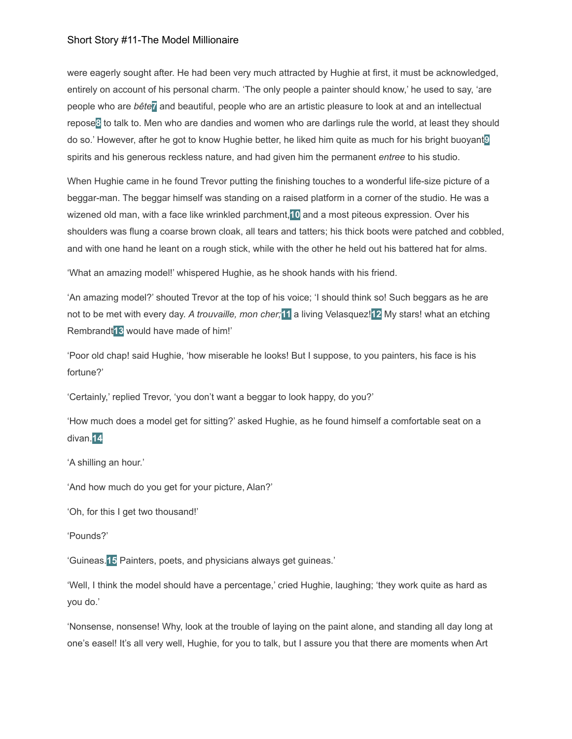were eagerly sought after. He had been very much attracted by Hughie at first, it must be acknowledged, entirely on account of his personal charm. 'The only people a painter should know,' he used to say, 'are people who are *bête***7** and beautiful, people who are an artistic pleasure to look at and an intellectual repose**8** to talk to. Men who are dandies and women who are darlings rule the world, at least they should do so.' However, after he got to know Hughie better, he liked him quite as much for his bright buoyant**9** spirits and his generous reckless nature, and had given him the permanent *entree* to his studio.

When Hughie came in he found Trevor putting the finishing touches to a wonderful life-size picture of a beggar-man. The beggar himself was standing on a raised platform in a corner of the studio. He was a wizened old man, with a face like wrinkled parchment,**10** and a most piteous expression. Over his shoulders was flung a coarse brown cloak, all tears and tatters; his thick boots were patched and cobbled, and with one hand he leant on a rough stick, while with the other he held out his battered hat for alms.

'What an amazing model!' whispered Hughie, as he shook hands with his friend.

'An amazing model?' shouted Trevor at the top of his voice; 'I should think so! Such beggars as he are not to be met with every day. *A trouvaille, mon cher;***11** a living Velasquez!**12** My stars! what an etching Rembrandt**13** would have made of him!'

'Poor old chap! said Hughie, 'how miserable he looks! But I suppose, to you painters, his face is his fortune?'

'Certainly,' replied Trevor, 'you don't want a beggar to look happy, do you?'

'How much does a model get for sitting?' asked Hughie, as he found himself a comfortable seat on a divan.**14**

'A shilling an hour.'

'And how much do you get for your picture, Alan?'

'Oh, for this I get two thousand!'

'Pounds?'

'Guineas.**15** Painters, poets, and physicians always get guineas.'

'Well, I think the model should have a percentage,' cried Hughie, laughing; 'they work quite as hard as you do.'

'Nonsense, nonsense! Why, look at the trouble of laying on the paint alone, and standing all day long at one's easel! It's all very well, Hughie, for you to talk, but I assure you that there are moments when Art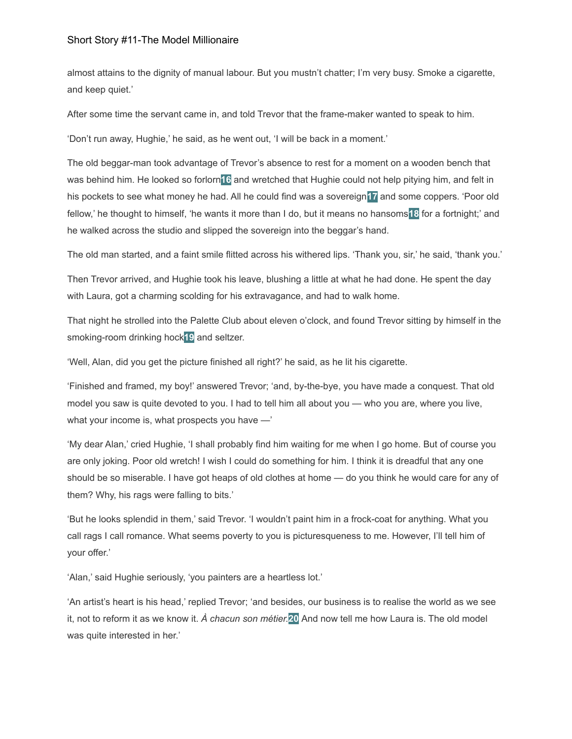almost attains to the dignity of manual labour. But you mustn't chatter; I'm very busy. Smoke a cigarette, and keep quiet.'

After some time the servant came in, and told Trevor that the frame-maker wanted to speak to him.

'Don't run away, Hughie,' he said, as he went out, 'I will be back in a moment.'

The old beggar-man took advantage of Trevor's absence to rest for a moment on a wooden bench that was behind him. He looked so forlorn**16** and wretched that Hughie could not help pitying him, and felt in his pockets to see what money he had. All he could find was a sovereign**17** and some coppers. 'Poor old fellow,' he thought to himself, 'he wants it more than I do, but it means no hansoms**18** for a fortnight;' and he walked across the studio and slipped the sovereign into the beggar's hand.

The old man started, and a faint smile flitted across his withered lips. 'Thank you, sir,' he said, 'thank you.'

Then Trevor arrived, and Hughie took his leave, blushing a little at what he had done. He spent the day with Laura, got a charming scolding for his extravagance, and had to walk home.

That night he strolled into the Palette Club about eleven o'clock, and found Trevor sitting by himself in the smoking-room drinking hock**19** and seltzer.

'Well, Alan, did you get the picture finished all right?' he said, as he lit his cigarette.

'Finished and framed, my boy!' answered Trevor; 'and, by-the-bye, you have made a conquest. That old model you saw is quite devoted to you. I had to tell him all about you — who you are, where you live, what your income is, what prospects you have —'

'My dear Alan,' cried Hughie, 'I shall probably find him waiting for me when I go home. But of course you are only joking. Poor old wretch! I wish I could do something for him. I think it is dreadful that any one should be so miserable. I have got heaps of old clothes at home — do you think he would care for any of them? Why, his rags were falling to bits.'

'But he looks splendid in them,' said Trevor. 'I wouldn't paint him in a frock-coat for anything. What you call rags I call romance. What seems poverty to you is picturesqueness to me. However, I'll tell him of your offer.'

'Alan,' said Hughie seriously, 'you painters are a heartless lot.'

'An artist's heart is his head,' replied Trevor; 'and besides, our business is to realise the world as we see it, not to reform it as we know it. *À chacun son métier.***20** And now tell me how Laura is. The old model was quite interested in her.'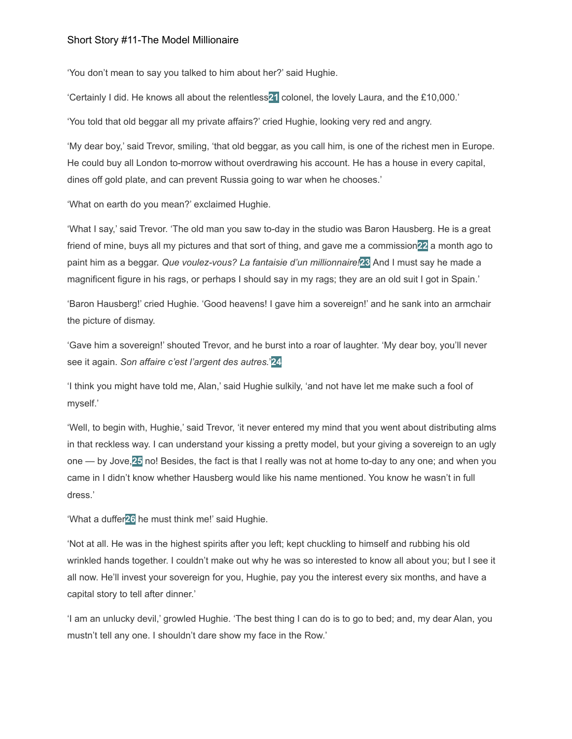'You don't mean to say you talked to him about her?' said Hughie.

'Certainly I did. He knows all about the relentless**21** colonel, the lovely Laura, and the £10,000.'

'You told that old beggar all my private affairs?' cried Hughie, looking very red and angry.

'My dear boy,' said Trevor, smiling, 'that old beggar, as you call him, is one of the richest men in Europe. He could buy all London to-morrow without overdrawing his account. He has a house in every capital, dines off gold plate, and can prevent Russia going to war when he chooses.'

'What on earth do you mean?' exclaimed Hughie.

'What I say,' said Trevor. 'The old man you saw to-day in the studio was Baron Hausberg. He is a great friend of mine, buys all my pictures and that sort of thing, and gave me a commission**22** a month ago to paint him as a beggar. *Que voulez-vous? La fantaisie d'un millionnaire!***23** And I must say he made a magnificent figure in his rags, or perhaps I should say in my rags; they are an old suit I got in Spain.'

'Baron Hausberg!' cried Hughie. 'Good heavens! I gave him a sovereign!' and he sank into an armchair the picture of dismay.

'Gave him a sovereign!' shouted Trevor, and he burst into a roar of laughter. 'My dear boy, you'll never see it again. *Son affaire c'est l'argent des autres.*'**24**

'I think you might have told me, Alan,' said Hughie sulkily, 'and not have let me make such a fool of myself.'

'Well, to begin with, Hughie,' said Trevor, 'it never entered my mind that you went about distributing alms in that reckless way. I can understand your kissing a pretty model, but your giving a sovereign to an ugly one — by Jove,**25** no! Besides, the fact is that I really was not at home to-day to any one; and when you came in I didn't know whether Hausberg would like his name mentioned. You know he wasn't in full dress.'

'What a duffer**26** he must think me!' said Hughie.

'Not at all. He was in the highest spirits after you left; kept chuckling to himself and rubbing his old wrinkled hands together. I couldn't make out why he was so interested to know all about you; but I see it all now. He'll invest your sovereign for you, Hughie, pay you the interest every six months, and have a capital story to tell after dinner.'

'I am an unlucky devil,' growled Hughie. 'The best thing I can do is to go to bed; and, my dear Alan, you mustn't tell any one. I shouldn't dare show my face in the Row.'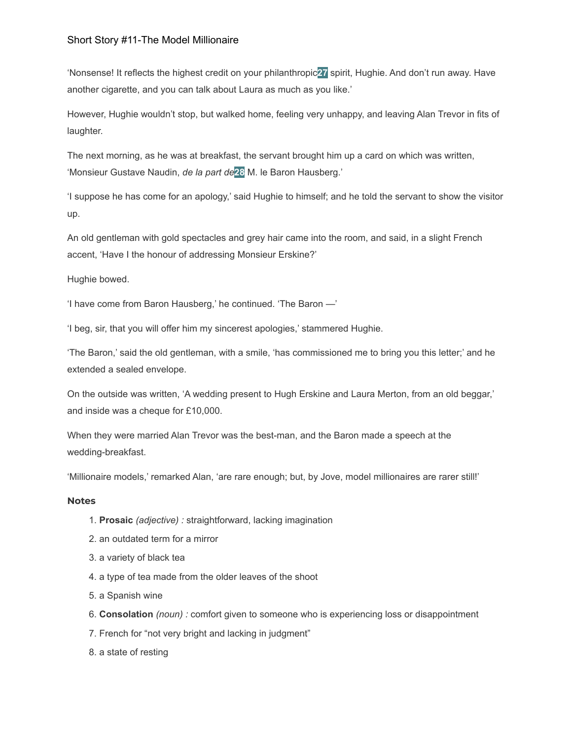'Nonsense! It reflects the highest credit on your philanthropic**27** spirit, Hughie. And don't run away. Have another cigarette, and you can talk about Laura as much as you like.'

However, Hughie wouldn't stop, but walked home, feeling very unhappy, and leaving Alan Trevor in fits of laughter.

The next morning, as he was at breakfast, the servant brought him up a card on which was written, 'Monsieur Gustave Naudin, *de la part de***28** M. le Baron Hausberg.'

'I suppose he has come for an apology,' said Hughie to himself; and he told the servant to show the visitor up.

An old gentleman with gold spectacles and grey hair came into the room, and said, in a slight French accent, 'Have I the honour of addressing Monsieur Erskine?'

Hughie bowed.

'I have come from Baron Hausberg,' he continued. 'The Baron —'

'I beg, sir, that you will offer him my sincerest apologies,' stammered Hughie.

'The Baron,' said the old gentleman, with a smile, 'has commissioned me to bring you this letter;' and he extended a sealed envelope.

On the outside was written, 'A wedding present to Hugh Erskine and Laura Merton, from an old beggar,' and inside was a cheque for £10,000.

When they were married Alan Trevor was the best-man, and the Baron made a speech at the wedding-breakfast.

'Millionaire models,' remarked Alan, 'are rare enough; but, by Jove, model millionaires are rarer still!'

## **Notes**

- 1. **Prosaic** *(adjective) :* straightforward, lacking imagination
- 2. an outdated term for a mirror
- 3. a variety of black tea
- 4. a type of tea made from the older leaves of the shoot
- 5. a Spanish wine
- 6. **Consolation** *(noun) :* comfort given to someone who is experiencing loss or disappointment
- 7. French for "not very bright and lacking in judgment"
- 8. a state of resting